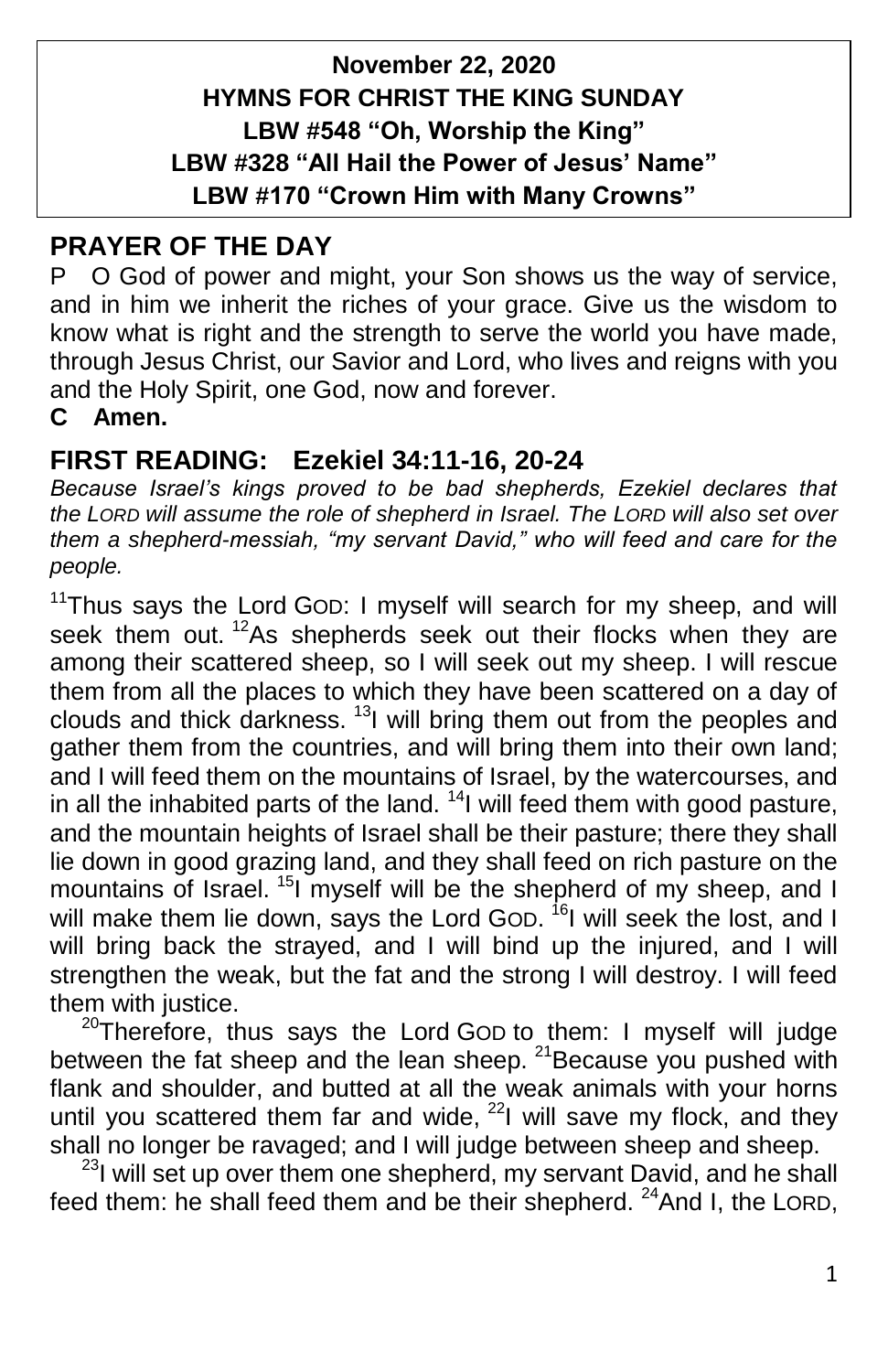# **November 22, 2020 HYMNS FOR CHRIST THE KING SUNDAY LBW #548 "Oh, Worship the King" LBW #328 "All Hail the Power of Jesus' Name" LBW #170 "Crown Him with Many Crowns"**

## **PRAYER OF THE DAY**

P O God of power and might, your Son shows us the way of service, and in him we inherit the riches of your grace. Give us the wisdom to know what is right and the strength to serve the world you have made, through Jesus Christ, our Savior and Lord, who lives and reigns with you and the Holy Spirit, one God, now and forever.

**C Amen.**

## **FIRST READING: Ezekiel 34:11-16, 20-24**

*Because Israel's kings proved to be bad shepherds, Ezekiel declares that the LORD will assume the role of shepherd in Israel. The LORD will also set over them a shepherd-messiah, "my servant David," who will feed and care for the people.*

 $11$ Thus says the Lord GOD: I myself will search for my sheep, and will seek them out. <sup>12</sup>As shepherds seek out their flocks when they are among their scattered sheep, so I will seek out my sheep. I will rescue them from all the places to which they have been scattered on a day of clouds and thick darkness.  $13$  will bring them out from the peoples and gather them from the countries, and will bring them into their own land; and I will feed them on the mountains of Israel, by the watercourses, and in all the inhabited parts of the land.  $14$  will feed them with good pasture, and the mountain heights of Israel shall be their pasture; there they shall lie down in good grazing land, and they shall feed on rich pasture on the mountains of Israel. <sup>15</sup>I myself will be the shepherd of my sheep, and I will make them lie down, says the Lord GOD. <sup>16</sup>I will seek the lost, and I will bring back the strayed, and I will bind up the injured, and I will strengthen the weak, but the fat and the strong I will destroy. I will feed them with justice.

 $20$ Therefore, thus says the Lord GOD to them: I myself will judge between the fat sheep and the lean sheep. <sup>21</sup> Because you pushed with flank and shoulder, and butted at all the weak animals with your horns until you scattered them far and wide,  $^{22}$ I will save my flock, and they shall no longer be ravaged; and I will judge between sheep and sheep.

<sup>23</sup>I will set up over them one shepherd, my servant David, and he shall feed them: he shall feed them and be their shepherd. <sup>24</sup>And I, the LORD,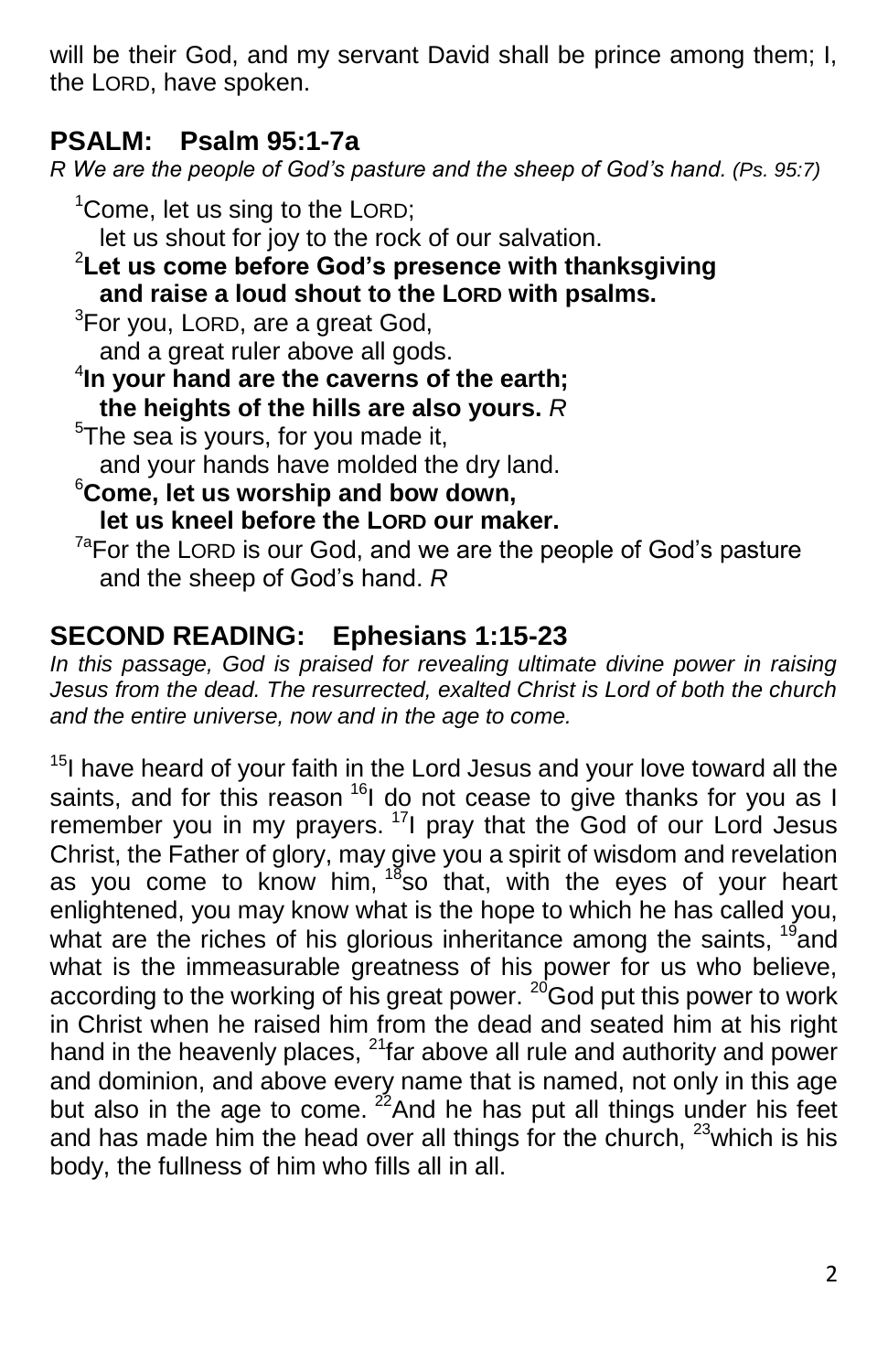will be their God, and my servant David shall be prince among them; I, the LORD, have spoken.

# **PSALM: Psalm 95:1-7a**

*R We are the people of God's pasture and the sheep of God's hand. (Ps. 95:7)*

 $1$ Come, let us sing to the LORD; let us shout for joy to the rock of our salvation. <sup>2</sup>**Let us come before God's presence with thanksgiving and raise a loud shout to the LORD with psalms.**  $3$ For you, LORD, are a great God, and a great ruler above all gods. 4 **In your hand are the caverns of the earth; the heights of the hills are also yours.** *R* <sup>5</sup>The sea is yours, for you made it, and your hands have molded the dry land. <sup>6</sup>**Come, let us worship and bow down, let us kneel before the LORD our maker.**  $7a$ For the LORD is our God, and we are the people of God's pasture and the sheep of God's hand. *R*

# **SECOND READING: Ephesians 1:15-23**

*In this passage, God is praised for revealing ultimate divine power in raising Jesus from the dead. The resurrected, exalted Christ is Lord of both the church and the entire universe, now and in the age to come.*

 $15$ I have heard of your faith in the Lord Jesus and your love toward all the saints, and for this reason <sup>16</sup>I do not cease to give thanks for you as I remember you in my prayers.<sup>17</sup>l pray that the God of our Lord Jesus Christ, the Father of glory, may give you a spirit of wisdom and revelation as you come to know him, <sup>18</sup>so that, with the eyes of your heart enlightened, you may know what is the hope to which he has called you, what are the riches of his glorious inheritance among the saints,  $^{19}$  and what is the immeasurable greatness of his power for us who believe, according to the working of his great power. <sup>20</sup>God put this power to work in Christ when he raised him from the dead and seated him at his right hand in the heavenly places,  $^{21}$ far above all rule and authority and power and dominion, and above every name that is named, not only in this age but also in the age to come.  $2^2$  And he has put all things under his feet and has made him the head over all things for the church,  $23$  which is his body, the fullness of him who fills all in all.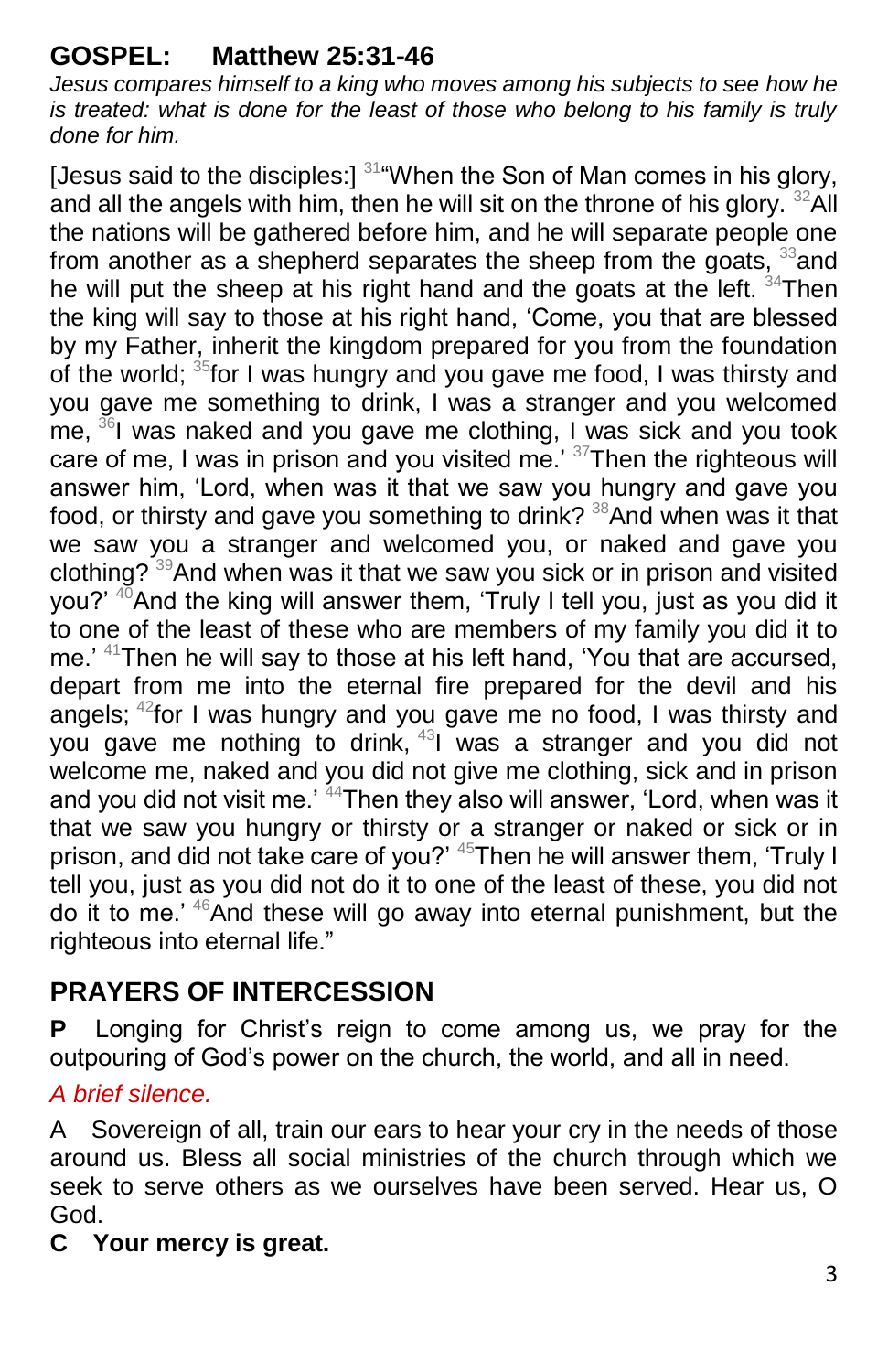# **GOSPEL: Matthew 25:31-46**

*Jesus compares himself to a king who moves among his subjects to see how he is treated: what is done for the least of those who belong to his family is truly done for him.*

[Jesus said to the disciples:]  $314$  When the Son of Man comes in his glory, and all the angels with him, then he will sit on the throne of his glory.  $32$ All the nations will be gathered before him, and he will separate people one from another as a shepherd separates the sheep from the goats,  $33$  and he will put the sheep at his right hand and the goats at the left. <sup>34</sup>Then the king will say to those at his right hand, 'Come, you that are blessed by my Father, inherit the kingdom prepared for you from the foundation of the world; <sup>35</sup> for I was hungry and you gave me food, I was thirsty and you gave me something to drink, I was a stranger and you welcomed me,  $36$ I was naked and you gave me clothing, I was sick and you took care of me. I was in prison and you visited me.' <sup>37</sup>Then the righteous will answer him, 'Lord, when was it that we saw you hungry and gave you food, or thirsty and gave you something to drink? <sup>38</sup>And when was it that we saw you a stranger and welcomed you, or naked and gave you clothing?  $39$ And when was it that we saw you sick or in prison and visited you?'  $40$ And the king will answer them, 'Truly I tell you, just as you did it to one of the least of these who are members of my family you did it to me.' <sup>41</sup>Then he will say to those at his left hand, 'You that are accursed, depart from me into the eternal fire prepared for the devil and his angels;  $42$  for I was hungry and you gave me no food, I was thirsty and you gave me nothing to drink, <sup>43</sup>I was a stranger and you did not welcome me, naked and you did not give me clothing, sick and in prison and you did not visit me.' <sup>44</sup>Then they also will answer, 'Lord, when was it that we saw you hungry or thirsty or a stranger or naked or sick or in prison, and did not take care of you?' <sup>45</sup>Then he will answer them, 'Truly I tell you, just as you did not do it to one of the least of these, you did not do it to me.' <sup>46</sup>And these will go away into eternal punishment, but the righteous into eternal life."

# **PRAYERS OF INTERCESSION**

**P** Longing for Christ's reign to come among us, we pray for the outpouring of God's power on the church, the world, and all in need.

## *A brief silence.*

A Sovereign of all, train our ears to hear your cry in the needs of those around us. Bless all social ministries of the church through which we seek to serve others as we ourselves have been served. Hear us, O God.

#### **C Your mercy is great.**